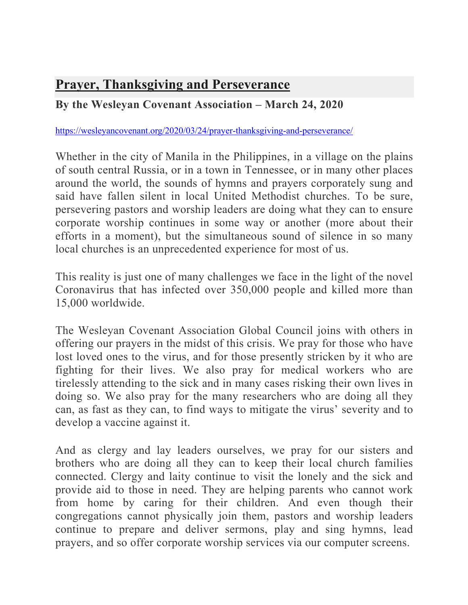## **Prayer, Thanksgiving and Perseverance**

## **By the Wesleyan Covenant Association – March 24, 2020**

## https://wesleyancovenant.org/2020/03/24/prayer-thanksgiving-and-perseverance/

Whether in the city of Manila in the Philippines, in a village on the plains of south central Russia, or in a town in Tennessee, or in many other places around the world, the sounds of hymns and prayers corporately sung and said have fallen silent in local United Methodist churches. To be sure, persevering pastors and worship leaders are doing what they can to ensure corporate worship continues in some way or another (more about their efforts in a moment), but the simultaneous sound of silence in so many local churches is an unprecedented experience for most of us.

This reality is just one of many challenges we face in the light of the novel Coronavirus that has infected over 350,000 people and killed more than 15,000 worldwide.

The Wesleyan Covenant Association Global Council joins with others in offering our prayers in the midst of this crisis. We pray for those who have lost loved ones to the virus, and for those presently stricken by it who are fighting for their lives. We also pray for medical workers who are tirelessly attending to the sick and in many cases risking their own lives in doing so. We also pray for the many researchers who are doing all they can, as fast as they can, to find ways to mitigate the virus' severity and to develop a vaccine against it.

And as clergy and lay leaders ourselves, we pray for our sisters and brothers who are doing all they can to keep their local church families connected. Clergy and laity continue to visit the lonely and the sick and provide aid to those in need. They are helping parents who cannot work from home by caring for their children. And even though their congregations cannot physically join them, pastors and worship leaders continue to prepare and deliver sermons, play and sing hymns, lead prayers, and so offer corporate worship services via our computer screens.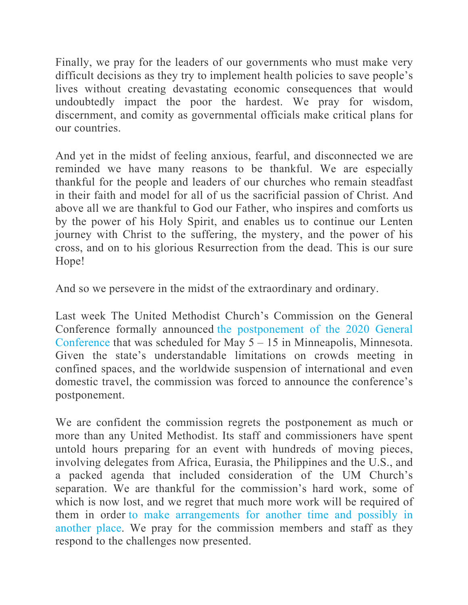Finally, we pray for the leaders of our governments who must make very difficult decisions as they try to implement health policies to save people's lives without creating devastating economic consequences that would undoubtedly impact the poor the hardest. We pray for wisdom, discernment, and comity as governmental officials make critical plans for our countries.

And yet in the midst of feeling anxious, fearful, and disconnected we are reminded we have many reasons to be thankful. We are especially thankful for the people and leaders of our churches who remain steadfast in their faith and model for all of us the sacrificial passion of Christ. And above all we are thankful to God our Father, who inspires and comforts us by the power of his Holy Spirit, and enables us to continue our Lenten journey with Christ to the suffering, the mystery, and the power of his cross, and on to his glorious Resurrection from the dead. This is our sure Hope!

And so we persevere in the midst of the extraordinary and ordinary.

Last week The United Methodist Church's Commission on the General Conference formally announced the postponement of the 2020 General Conference that was scheduled for May  $5 - 15$  in Minneapolis, Minnesota. Given the state's understandable limitations on crowds meeting in confined spaces, and the worldwide suspension of international and even domestic travel, the commission was forced to announce the conference's postponement.

We are confident the commission regrets the postponement as much or more than any United Methodist. Its staff and commissioners have spent untold hours preparing for an event with hundreds of moving pieces, involving delegates from Africa, Eurasia, the Philippines and the U.S., and a packed agenda that included consideration of the UM Church's separation. We are thankful for the commission's hard work, some of which is now lost, and we regret that much more work will be required of them in order to make arrangements for another time and possibly in another place. We pray for the commission members and staff as they respond to the challenges now presented.